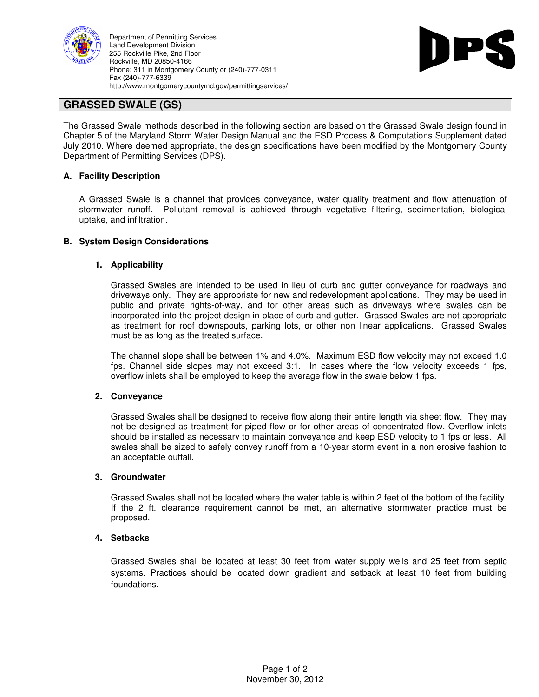

Department of Permitting Services Land Development Division 255 Rockville Pike, 2nd Floor Rockville, MD 20850-4166 Phone: 311 in Montgomery County or (240)-777-0311 Fax (240)-777-6339 http://www.montgomerycountymd.gov/permittingservices/



# **GRASSED SWALE (GS)**

The Grassed Swale methods described in the following section are based on the Grassed Swale design found in Chapter 5 of the Maryland Storm Water Design Manual and the ESD Process & Computations Supplement dated July 2010. Where deemed appropriate, the design specifications have been modified by the Montgomery County Department of Permitting Services (DPS).

## **A. Facility Description**

A Grassed Swale is a channel that provides conveyance, water quality treatment and flow attenuation of stormwater runoff. Pollutant removal is achieved through vegetative filtering, sedimentation, biological uptake, and infiltration.

## **B. System Design Considerations**

## **1. Applicability**

Grassed Swales are intended to be used in lieu of curb and gutter conveyance for roadways and driveways only. They are appropriate for new and redevelopment applications. They may be used in public and private rights-of-way, and for other areas such as driveways where swales can be incorporated into the project design in place of curb and gutter. Grassed Swales are not appropriate as treatment for roof downspouts, parking lots, or other non linear applications. Grassed Swales must be as long as the treated surface.

The channel slope shall be between 1% and 4.0%. Maximum ESD flow velocity may not exceed 1.0 fps. Channel side slopes may not exceed 3:1. In cases where the flow velocity exceeds 1 fps, overflow inlets shall be employed to keep the average flow in the swale below 1 fps.

## **2. Conveyance**

Grassed Swales shall be designed to receive flow along their entire length via sheet flow. They may not be designed as treatment for piped flow or for other areas of concentrated flow. Overflow inlets should be installed as necessary to maintain conveyance and keep ESD velocity to 1 fps or less. All swales shall be sized to safely convey runoff from a 10-year storm event in a non erosive fashion to an acceptable outfall.

## **3. Groundwater**

Grassed Swales shall not be located where the water table is within 2 feet of the bottom of the facility. If the 2 ft. clearance requirement cannot be met, an alternative stormwater practice must be proposed.

## **4. Setbacks**

Grassed Swales shall be located at least 30 feet from water supply wells and 25 feet from septic systems. Practices should be located down gradient and setback at least 10 feet from building foundations.